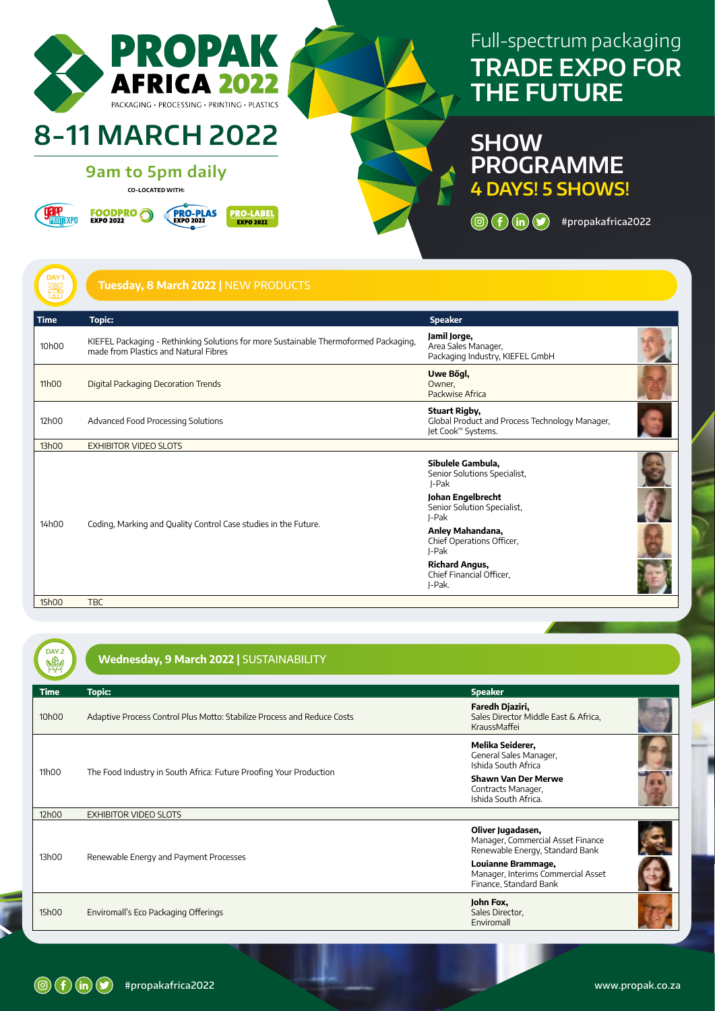

# Full-spectrum packaging **TRADE EXPO FOR THE FUTURE**

**SHOW PROGRAMME 4 DAYS! 5 SHOWS!**

 $\circledcirc$   $\circledcirc$   $\circledcirc$   $\circledcirc$  #propakafrica2022

| $\frac{DAY}{100}$ | Tuesday, 8 March 2022   NEW PRODUCTS                                                                                          |                                                                                                                         |  |
|-------------------|-------------------------------------------------------------------------------------------------------------------------------|-------------------------------------------------------------------------------------------------------------------------|--|
| <b>Time</b>       | <b>Topic:</b>                                                                                                                 | <b>Speaker</b>                                                                                                          |  |
| 10h00             | KIEFEL Packaging - Rethinking Solutions for more Sustainable Thermoformed Packaging,<br>made from Plastics and Natural Fibres | Jamil Jorge,<br>Area Sales Manager,<br>Packaging Industry, KIEFEL GmbH                                                  |  |
| 11h00             | Digital Packaging Decoration Trends                                                                                           | Uwe Bögl,<br>Owner,<br>Packwise Africa                                                                                  |  |
| 12h00             | Advanced Food Processing Solutions                                                                                            | <b>Stuart Rigby,</b><br>Global Product and Process Technology Manager,<br>Jet Cook <sup>™</sup> Systems.                |  |
| 13h00             | <b>EXHIBITOR VIDEO SLOTS</b>                                                                                                  |                                                                                                                         |  |
| 14h00             | Coding, Marking and Quality Control Case studies in the Future.                                                               | Sibulele Gambula,<br>Senior Solutions Specialist,<br>J-Pak<br>Johan Engelbrecht<br>Senior Solution Specialist,<br>J-Pak |  |
|                   |                                                                                                                               | Anley Mahandana,<br>Chief Operations Officer,<br>J-Pak                                                                  |  |
|                   |                                                                                                                               | <b>Richard Angus,</b><br>Chief Financial Officer,<br>J-Pak.                                                             |  |
| 15h00             | <b>TBC</b>                                                                                                                    |                                                                                                                         |  |

| DAY <sub>2</sub> | Wednesday, 9 March 2022   SUSTAINABILITY                                |                                                                                           |  |
|------------------|-------------------------------------------------------------------------|-------------------------------------------------------------------------------------------|--|
| <b>Time</b>      | <b>Topic:</b>                                                           | <b>Speaker</b>                                                                            |  |
| 10h00            | Adaptive Process Control Plus Motto: Stabilize Process and Reduce Costs | Faredh Djaziri,<br>Sales Director Middle East & Africa,<br>KraussMaffei                   |  |
| 11h00            | The Food Industry in South Africa: Future Proofing Your Production      | Melika Seiderer,<br>General Sales Manager,<br>Ishida South Africa                         |  |
|                  |                                                                         | <b>Shawn Van Der Merwe</b><br>Contracts Manager,<br>Ishida South Africa.                  |  |
| 12h00            | <b>EXHIBITOR VIDEO SLOTS</b>                                            |                                                                                           |  |
| 13h00            | Renewable Energy and Payment Processes                                  | Oliver Jugadasen,<br>Manager, Commercial Asset Finance<br>Renewable Energy, Standard Bank |  |
|                  |                                                                         | Louianne Brammage,<br>Manager, Interims Commercial Asset<br>Finance, Standard Bank        |  |
| 15h00            | Enviromall's Eco Packaging Offerings                                    | John Fox,<br>Sales Director,<br>Enviromall                                                |  |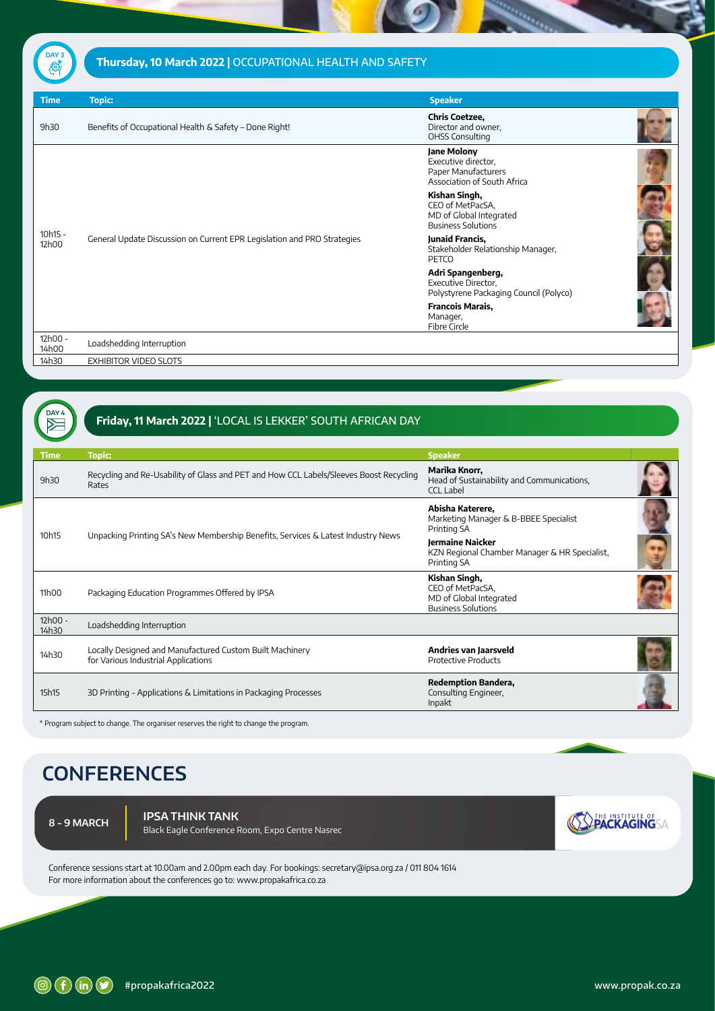# Thursday, 10 March 2022 | OCCUPATIONAL HEALTH AND SAFETY **DAY 3**

| <b>Time</b>      | <b>Topic:</b>                                                           | <b>Speaker</b>                                                                            |  |
|------------------|-------------------------------------------------------------------------|-------------------------------------------------------------------------------------------|--|
| 9h30             | Benefits of Occupational Health & Safety - Done Right!                  | <b>Chris Coetzee,</b><br>Director and owner,<br><b>OHSS Consulting</b>                    |  |
|                  | General Update Discussion on Current EPR Legislation and PRO Strategies | Jane Molony<br>Executive director,<br>Paper Manufacturers<br>Association of South Africa  |  |
|                  |                                                                         | Kishan Singh,<br>CEO of MetPacSA,<br>MD of Global Integrated<br><b>Business Solutions</b> |  |
| 10h15 -<br>12h00 |                                                                         | Junaid Francis,<br>Stakeholder Relationship Manager,<br>PETCO                             |  |
|                  |                                                                         | Adri Spangenberg,<br>Executive Director,<br>Polystyrene Packaging Council (Polyco)        |  |
|                  |                                                                         | <b>Francois Marais,</b><br>Manager,<br>Fibre Circle                                       |  |
| 12h00 -<br>14h00 | Loadshedding Interruption                                               |                                                                                           |  |
| 14h30            | <b>EXHIBITOR VIDEO SLOTS</b>                                            |                                                                                           |  |

# **FRIDAY 4 SET REFERENCES** Friday, 11 March 2022 | 'LOCAL IS LEKKER' SOUTH AFRICAN DAY

| <b>Time</b>      | <b>Topic:</b>                                                                                   | <b>Speaker</b>                                                                            |  |
|------------------|-------------------------------------------------------------------------------------------------|-------------------------------------------------------------------------------------------|--|
| 9h30             | Recycling and Re-Usability of Glass and PET and How CCL Labels/Sleeves Boost Recycling<br>Rates | Marika Knorr,<br>Head of Sustainability and Communications,<br><b>CCL Label</b>           |  |
| 10h15            | Unpacking Printing SA's New Membership Benefits, Services & Latest Industry News                | Abisha Katerere,<br>Marketing Manager & B-BBEE Specialist<br>Printing SA                  |  |
|                  |                                                                                                 | <b>Jermaine Naicker</b><br>KZN Regional Chamber Manager & HR Specialist,<br>Printing SA   |  |
| 11h00            | Packaging Education Programmes Offered by IPSA                                                  | Kishan Singh,<br>CEO of MetPacSA,<br>MD of Global Integrated<br><b>Business Solutions</b> |  |
| 12h00 -<br>14h30 | Loadshedding Interruption                                                                       |                                                                                           |  |
| 14h30            | Locally Designed and Manufactured Custom Built Machinery<br>for Various Industrial Applications | Andries van Jaarsveld<br><b>Protective Products</b>                                       |  |
| 15h15            | 3D Printing - Applications & Limitations in Packaging Processes                                 | <b>Redemption Bandera,</b><br>Consulting Engineer,<br>Inpakt                              |  |

\* Program subject to change. The organiser reserves the right to change the program.

# **CONFERENCES**

**8 - 9 MARCH**

**IPSA THINK TANK** Black Eagle Conference Room, Expo Centre Nasrec **SOPACKAGINGSA** 

Conference sessions start at 10.00am and 2.00pm each day. For bookings: secretary@ipsa.org.za / 011 804 1614 For more information about the conferences go to: www.propakafrica.co.za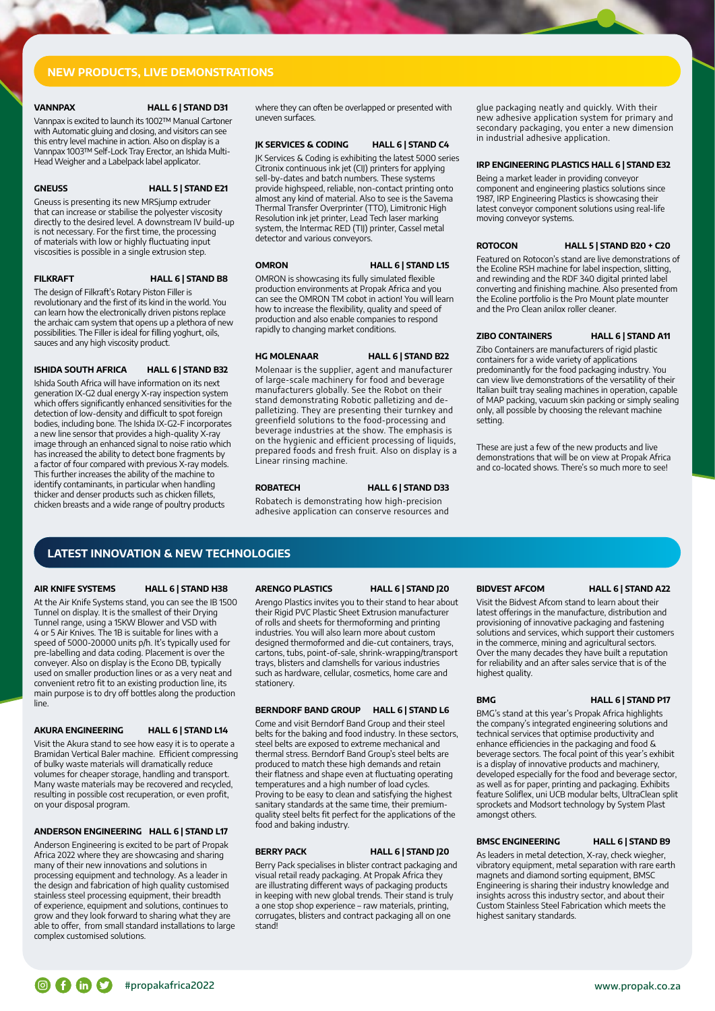# NEW PRODUCTS, LIVE DEMONSTRATIONS

### VANNPAX HALL 6 | STAND D31

Vannpax is excited to launch its 1002™ Manual Cartoner with Automatic gluing and closing, and visitors can see this entry level machine in action. Also on display is a Vannpax 1003™ Self-Lock Tray Erector, an Ishida Multi-Head Weigher and a Labelpack label applicator.

# GNEUSS HALL 5 | STAND E21

Gneuss is presenting its new MRSjump extruder that can increase or stabilise the polyester viscosity directly to the desired level. A downstream IV build-up is not necessary. For the first time, the processing of materials with low or highly fluctuating input viscosities is possible in a single extrusion step.

# FILKRAFT HALL 6 | STAND B8

The design of Filkraft's Rotary Piston Filler is revolutionary and the first of its kind in the world. You can learn how the electronically driven pistons replace the archaic cam system that opens up a plethora of new possibilities. The Filler is ideal for filling yoghurt, oils, sauces and any high viscosity product.

# ISHIDA SOUTH AFRICA HALL 6 | STAND B32

Ishida South Africa will have information on its next generation IX-G2 dual energy X-ray inspection system which offers significantly enhanced sensitivities for the detection of low-density and difficult to spot foreign bodies, including bone. The Ishida IX-G2-F incorporates a new line sensor that provides a high-quality X-ray image through an enhanced signal to noise ratio which has increased the ability to detect bone fragments by a factor of four compared with previous X-ray models. This further increases the ability of the machine to identify contaminants, in particular when handling thicker and denser products such as chicken fillets, chicken breasts and a wide range of poultry products

where they can often be overlapped or presented with uneven surfaces.

### JK SERVICES & CODING HALL 6 | STAND C4

JK Services & Coding is exhibiting the latest 5000 series Citronix continuous ink jet (CIJ) printers for applying sell-by-dates and batch numbers. These systems provide highspeed, reliable, non-contact printing onto almost any kind of material. Also to see is the Savema Thermal Transfer Overprinter (TTO), Limitronic High Resolution ink jet printer, Lead Tech laser marking system, the Intermac RED (TIJ) printer, Cassel metal detector and various conveyors.

### OMRON HALL 6 | STAND L15

OMRON is showcasing its fully simulated flexible production environments at Propak Africa and you can see the OMRON TM cobot in action! You will learn how to increase the flexibility, quality and speed of production and also enable companies to respond rapidly to changing market conditions.

### HG MOLENAAR HALL 6 | STAND B22

Molenaar is the supplier, agent and manufacturer of large-scale machinery for food and beverage manufacturers globally. See the Robot on their stand demonstrating Robotic palletizing and depalletizing. They are presenting their turnkey and greenfield solutions to the food-processing and beverage industries at the show. The emphasis is on the hygienic and efficient processing of liquids, prepared foods and fresh fruit. Also on display is a Linear rinsing machine.

### ROBATECH HALL 6 | STAND D33

Robatech is demonstrating how high-precision adhesive application can conserve resources and

### glue packaging neatly and quickly. With their new adhesive application system for primary and secondary packaging, you enter a new dimension in industrial adhesive application.

## IRP ENGINEERING PLASTICS HALL 6 | STAND E32

Being a market leader in providing conveyor component and engineering plastics solutions since 1987, IRP Engineering Plastics is showcasing their latest conveyor component solutions using real-life moving conveyor systems.

### ROTOCON HALL 5 | STAND B20 + C20

Featured on Rotocon's stand are live demonstrations of the Ecoline RSH machine for label inspection, slitting, and rewinding and the RDF 340 digital printed label converting and finishing machine. Also presented from the Ecoline portfolio is the Pro Mount plate mounter and the Pro Clean anilox roller cleaner.

# ZIBO CONTAINERS HALL 6 | STAND A11

Zibo Containers are manufacturers of rigid plastic containers for a wide variety of applications predominantly for the food packaging industry. You can view live demonstrations of the versatility of their Italian built tray sealing machines in operation, capable of MAP packing, vacuum skin packing or simply sealing only, all possible by choosing the relevant machine setting.

These are just a few of the new products and live demonstrations that will be on view at Propak Africa and co-located shows. There's so much more to see!

# LATEST INNOVATION & NEW TECHNOLOGIES

# AIR KNIFE SYSTEMS HALL 6 | STAND H38

At the Air Knife Systems stand, you can see the IB 1500 Tunnel on display. It is the smallest of their Drying Tunnel range, using a 15KW Blower and VSD with 4 or 5 Air Knives. The 1B is suitable for lines with a speed of 5000-20000 units p/h. It's typically used for pre-labelling and data coding. Placement is over the conveyer. Also on display is the Econo DB, typically used on smaller production lines or as a very neat and convenient retro fit to an existing production line, its main purpose is to dry off bottles along the production line.

# AKURA ENGINEERING HALL 6 | STAND L14

Visit the Akura stand to see how easy it is to operate a Bramidan Vertical Baler machine. Efficient compressing of bulky waste materials will dramatically reduce volumes for cheaper storage, handling and transport. Many waste materials may be recovered and recycled, resulting in possible cost recuperation, or even profit, on your disposal program.

# ANDERSON ENGINEERING HALL 6 | STAND L17

Anderson Engineering is excited to be part of Propak Africa 2022 where they are showcasing and sharing many of their new innovations and solutions in processing equipment and technology. As a leader in the design and fabrication of high quality customised stainless steel processing equipment, their breadth of experience, equipment and solutions, continues to grow and they look forward to sharing what they are able to offer, from small standard installations to large complex customised solutions.

### ARENGO PLASTICS HALL 6 | STAND J20

Arengo Plastics invites you to their stand to hear about their Rigid PVC Plastic Sheet Extrusion manufacturer of rolls and sheets for thermoforming and printing industries. You will also learn more about custom designed thermoformed and die-cut containers, trays, cartons, tubs, point-of-sale, shrink-wrapping/transport trays, blisters and clamshells for various industries such as hardware, cellular, cosmetics, home care and stationery.

# BERNDORF BAND GROUP HALL 6 | STAND L6

Come and visit Berndorf Band Group and their steel belts for the baking and food industry. In these sectors, steel belts are exposed to extreme mechanical and thermal stress. Berndorf Band Group's steel belts are produced to match these high demands and retain their flatness and shape even at fluctuating operating temperatures and a high number of load cycles. Proving to be easy to clean and satisfying the highest sanitary standards at the same time, their premiumquality steel belts fit perfect for the applications of the food and baking industry.

# BERRY PACK HALL 6 | STAND J20

Berry Pack specialises in blister contract packaging and visual retail ready packaging. At Propak Africa they are illustrating different ways of packaging products in keeping with new global trends. Their stand is truly a one stop shop experience – raw materials, printing, corrugates, blisters and contract packaging all on one stand!

Visit the Bidvest Afcom stand to learn about their latest offerings in the manufacture, distribution and provisioning of innovative packaging and fastening solutions and services, which support their customers in the commerce, mining and agricultural sectors. Over the many decades they have built a reputation for reliability and an after sales service that is of the highest quality.

# BMG HALL 6 | STAND P17

BMG's stand at this year's Propak Africa highlights the company's integrated engineering solutions and technical services that optimise productivity and enhance efficiencies in the packaging and food & beverage sectors. The focal point of this year's exhibit is a display of innovative products and machinery, developed especially for the food and beverage sector, as well as for paper, printing and packaging. Exhibits feature Soliflex, uni UCB modular belts, UltraClean split sprockets and Modsort technology by System Plast amongst others.

# BMSC ENGINEERING HALL 6 | STAND B9

As leaders in metal detection, X-ray, check wiegher, vibratory equipment, metal separation with rare earth magnets and diamond sorting equipment, BMSC Engineering is sharing their industry knowledge and insights across this industry sector, and about their Custom Stainless Steel Fabrication which meets the highest sanitary standards.

BIDVEST AFCOM HALL 6 | STAND A22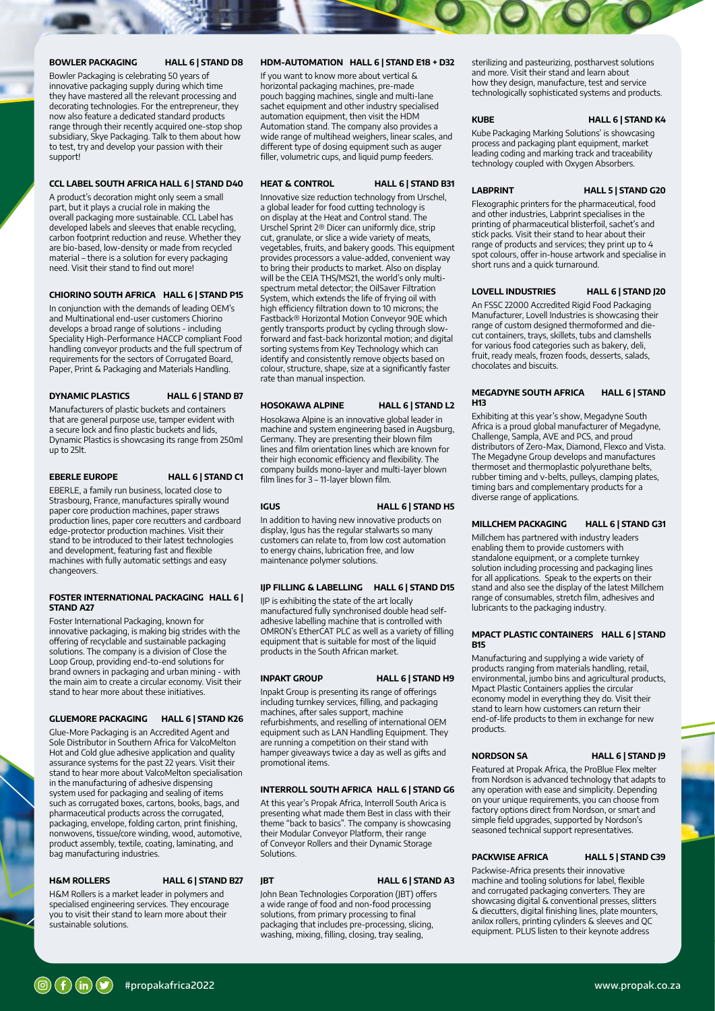### BOWLER PACKAGING HALL 6 | STAND D8

Bowler Packaging is celebrating 50 years of innovative packaging supply during which time they have mastered all the relevant processing and decorating technologies. For the entrepreneur, they now also feature a dedicated standard products range through their recently acquired one-stop shop subsidiary, Skye Packaging. Talk to them about how to test, try and develop your passion with their support!

### CCL LABEL SOUTH AFRICA HALL 6 | STAND D40

A product's decoration might only seem a small part, but it plays a crucial role in making the overall packaging more sustainable. CCL Label has developed labels and sleeves that enable recycling, carbon footprint reduction and reuse. Whether they are bio-based, low-density or made from recycled material – there is a solution for every packaging need. Visit their stand to find out more!

# CHIORINO SOUTH AFRICA HALL 6 | STAND P15

In conjunction with the demands of leading OEM's and Multinational end-user customers Chiorino develops a broad range of solutions - including Speciality High-Performance HACCP compliant Food handling conveyor products and the full spectrum of requirements for the sectors of Corrugated Board, Paper, Print & Packaging and Materials Handling.

DYNAMIC PLASTICS HALL 6 | STAND B7

Manufacturers of plastic buckets and containers that are general purpose use, tamper evident with a secure lock and fino plastic buckets and lids, Dynamic Plastics is showcasing its range from 250ml up to 25lt.

## EBERLE EUROPE HALL 6 | STAND C1

EBERLE, a family run business, located close to Strasbourg, France, manufactures spirally wound paper core production machines, paper straws production lines, paper core recutters and cardboard edge-protector production machines. Visit their stand to be introduced to their latest technologies and development, featuring fast and flexible machines with fully automatic settings and easy changeovers.

# FOSTER INTERNATIONAL PACKAGING HALL 6 | STAND A<sub>27</sub>

Foster International Packaging, known for innovative packaging, is making big strides with the offering of recyclable and sustainable packaging solutions. The company is a division of Close the Loop Group, providing end-to-end solutions for brand owners in packaging and urban mining - with the main aim to create a circular economy. Visit their stand to hear more about these initiatives.

# GLUEMORE PACKAGING HALL 6 | STAND K26

Glue-More Packaging is an Accredited Agent and Sole Distributor in Southern Africa for ValcoMelton Hot and Cold glue adhesive application and quality assurance systems for the past 22 years. Visit their stand to hear more about ValcoMelton specialisation in the manufacturing of adhesive dispensing system used for packaging and sealing of items such as corrugated boxes, cartons, books, bags, and pharmaceutical products across the corrugated, packaging, envelope, folding carton, print finishing, nonwovens, tissue/core winding, wood, automotive, product assembly, textile, coating, laminating, and bag manufacturing industries.

# H&M ROLLERS HALL 6 | STAND B27

H&M Rollers is a market leader in polymers and specialised engineering services. They encourage you to visit their stand to learn more about their sustainable solutions.

### HDM-AUTOMATION HALL 6 | STAND E18 + D32

If you want to know more about vertical & horizontal packaging machines, pre-made pouch bagging machines, single and multi-lane sachet equipment and other industry specialised automation equipment, then visit the HDM Automation stand. The company also provides a wide range of multihead weighers, linear scales, and different type of dosing equipment such as auger filler, volumetric cups, and liquid pump feeders.

### HEAT & CONTROL HALL 6 | STAND B31

Innovative size reduction technology from Urschel, a global leader for food cutting technology is on display at the Heat and Control stand. The Urschel Sprint 2® Dicer can uniformly dice, strip cut, granulate, or slice a wide variety of meats, vegetables, fruits, and bakery goods. This equipment provides processors a value-added, convenient way to bring their products to market. Also on display will be the CEIA THS/MS21, the world's only multispectrum metal detector; the OilSaver Filtration System, which extends the life of frying oil with high efficiency filtration down to 10 microns; the Fastback® Horizontal Motion Conveyor 90E which gently transports product by cycling through slowforward and fast-back horizontal motion; and digital sorting systems from Key Technology which can identify and consistently remove objects based on colour, structure, shape, size at a significantly faster rate than manual inspection.

# HOSOKAWA ALPINE HALL 6 | STAND L2

Hosokawa Alpine is an innovative global leader in machine and system engineering based in Augsburg, Germany. They are presenting their blown film lines and film orientation lines which are known for their high economic efficiency and flexibility. The company builds mono-layer and multi-layer blown film lines for 3 - 11-layer blown film.

### IGUS HALL 6 | STAND H5

In addition to having new innovative products on display, Igus has the regular stalwarts so many customers can relate to, from low cost automation to energy chains, lubrication free, and low maintenance polymer solutions.

# IJP FILLING & LABELLING HALL 6 | STAND D15

IJP is exhibiting the state of the art locally manufactured fully synchronised double head selfadhesive labelling machine that is controlled with OMRON's EtherCAT PLC as well as a variety of filling equipment that is suitable for most of the liquid products in the South African market.

INPAKT GROUP HALL 6 | STAND H9

Inpakt Group is presenting its range of offerings including turnkey services, filling, and packaging machines, after sales support, machine refurbishments, and reselling of international OEM equipment such as LAN Handling Equipment. They are running a competition on their stand with hamper giveaways twice a day as well as gifts and promotional items.

### INTERROLL SOUTH AFRICA HALL 6 | STAND G6

At this year's Propak Africa, Interroll South Arica is presenting what made them Best in class with their theme "back to basics". The company is showcasing their Modular Conveyor Platform, their range of Conveyor Rollers and their Dynamic Storage **Solutions** 

### **IBT** HALL 6 | STAND A3

John Bean Technologies Corporation (JBT) offers a wide range of food and non-food processing solutions, from primary processing to final packaging that includes pre-processing, slicing, washing, mixing, filling, closing, tray sealing,

sterilizing and pasteurizing, postharvest solutions and more. Visit their stand and learn about how they design, manufacture, test and service technologically sophisticated systems and products.

### KUBE HALL 6 | STAND K4

Kube Packaging Marking Solutions' is showcasing process and packaging plant equipment, market leading coding and marking track and traceability technology coupled with Oxygen Absorbers.

LABPRINT HALL 5 | STAND G20

Flexographic printers for the pharmaceutical, food and other industries, Labprint specialises in the printing of pharmaceutical blisterfoil, sachet's and stick packs. Visit their stand to hear about their range of products and services; they print up to 4 spot colours, offer in-house artwork and specialise in short runs and a quick turnaround.

### LOVELL INDUSTRIES HALL 6 | STAND J20

An FSSC 22000 Accredited Rigid Food Packaging Manufacturer, Lovell Industries is showcasing their range of custom designed thermoformed and diecut containers, trays, skillets, tubs and clamshells for various food categories such as bakery, deli, fruit, ready meals, frozen foods, desserts, salads, chocolates and biscuits.

# MEGADYNE SOUTH AFRICA HALL 6 | STAND **H13**

Exhibiting at this year's show, Megadyne South Africa is a proud global manufacturer of Megadyne, Challenge, Sampla, AVE and PCS, and proud distributors of Zero-Max, Diamond, Flexco and Vista. The Megadyne Group develops and manufactures thermoset and thermoplastic polyurethane belts, rubber timing and v-belts, pulleys, clamping plates, timing bars and complementary products for a diverse range of applications.

## MILLCHEM PACKAGING HALL 6 | STAND G31

Millchem has partnered with industry leaders enabling them to provide customers with standalone equipment, or a complete turnkey solution including processing and packaging lines for all applications. Speak to the experts on their stand and also see the display of the latest Millchem range of consumables, stretch film, adhesives and lubricants to the packaging industry.

### MPACT PLASTIC CONTAINERS HALL 6 | STAND **B15**

Manufacturing and supplying a wide variety of products ranging from materials handling, retail, environmental, jumbo bins and agricultural products, Mpact Plastic Containers applies the circular economy model in everything they do. Visit their stand to learn how customers can return their end-of-life products to them in exchange for new products.

NORDSON SA HALL 6 | STAND J9

Featured at Propak Africa, the ProBlue Flex melter from Nordson is advanced technology that adapts to any operation with ease and simplicity. Depending on your unique requirements, you can choose from factory options direct from Nordson, or smart and simple field upgrades, supported by Nordson's seasoned technical support representatives.

# PACKWISE AFRICA HALL 5 | STAND C39

Packwise-Africa presents their innovative machine and tooling solutions for label, flexible and corrugated packaging converters. They are showcasing digital & conventional presses, slitters & diecutters, digital finishing lines, plate mounters, anilox rollers, printing cylinders & sleeves and QC equipment. PLUS listen to their keynote address